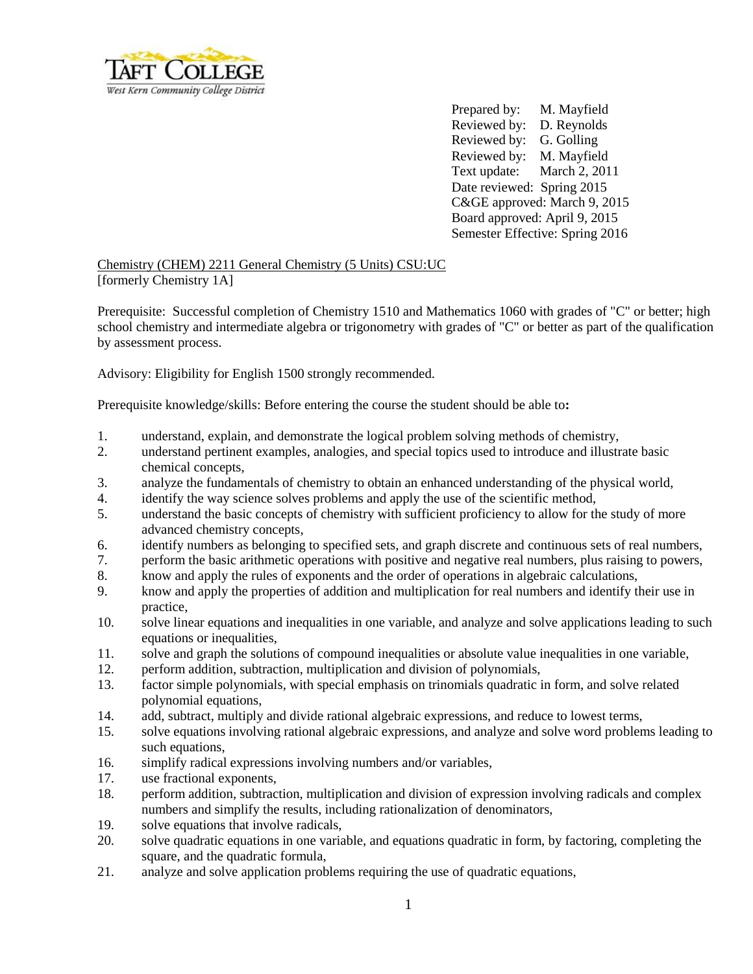

Prepared by: M. Mayfield Reviewed by: D. Reynolds Reviewed by: G. Golling Reviewed by: M. Mayfield Text update: March 2, 2011 Date reviewed: Spring 2015 C&GE approved: March 9, 2015 Board approved: April 9, 2015 Semester Effective: Spring 2016

Chemistry (CHEM) 2211 General Chemistry (5 Units) CSU:UC [formerly Chemistry 1A]

Prerequisite: Successful completion of Chemistry 1510 and Mathematics 1060 with grades of "C" or better; high school chemistry and intermediate algebra or trigonometry with grades of "C" or better as part of the qualification by assessment process.

Advisory: Eligibility for English 1500 strongly recommended.

Prerequisite knowledge/skills: Before entering the course the student should be able to**:**

- 1. understand, explain, and demonstrate the logical problem solving methods of chemistry,
- 2. understand pertinent examples, analogies, and special topics used to introduce and illustrate basic chemical concepts,
- 3. analyze the fundamentals of chemistry to obtain an enhanced understanding of the physical world,
- 4. identify the way science solves problems and apply the use of the scientific method,
- 5. understand the basic concepts of chemistry with sufficient proficiency to allow for the study of more advanced chemistry concepts,
- 6. identify numbers as belonging to specified sets, and graph discrete and continuous sets of real numbers,
- 7. perform the basic arithmetic operations with positive and negative real numbers, plus raising to powers,
- 8. know and apply the rules of exponents and the order of operations in algebraic calculations,
- 9. know and apply the properties of addition and multiplication for real numbers and identify their use in practice,
- 10. solve linear equations and inequalities in one variable, and analyze and solve applications leading to such equations or inequalities,
- 11. solve and graph the solutions of compound inequalities or absolute value inequalities in one variable,
- 12. perform addition, subtraction, multiplication and division of polynomials,
- 13. factor simple polynomials, with special emphasis on trinomials quadratic in form, and solve related polynomial equations,
- 14. add, subtract, multiply and divide rational algebraic expressions, and reduce to lowest terms,
- 15. solve equations involving rational algebraic expressions, and analyze and solve word problems leading to such equations.
- 16. simplify radical expressions involving numbers and/or variables,
- 17. use fractional exponents,
- 18. perform addition, subtraction, multiplication and division of expression involving radicals and complex numbers and simplify the results, including rationalization of denominators,
- 19. solve equations that involve radicals,
- 20. solve quadratic equations in one variable, and equations quadratic in form, by factoring, completing the square, and the quadratic formula,
- 21. analyze and solve application problems requiring the use of quadratic equations,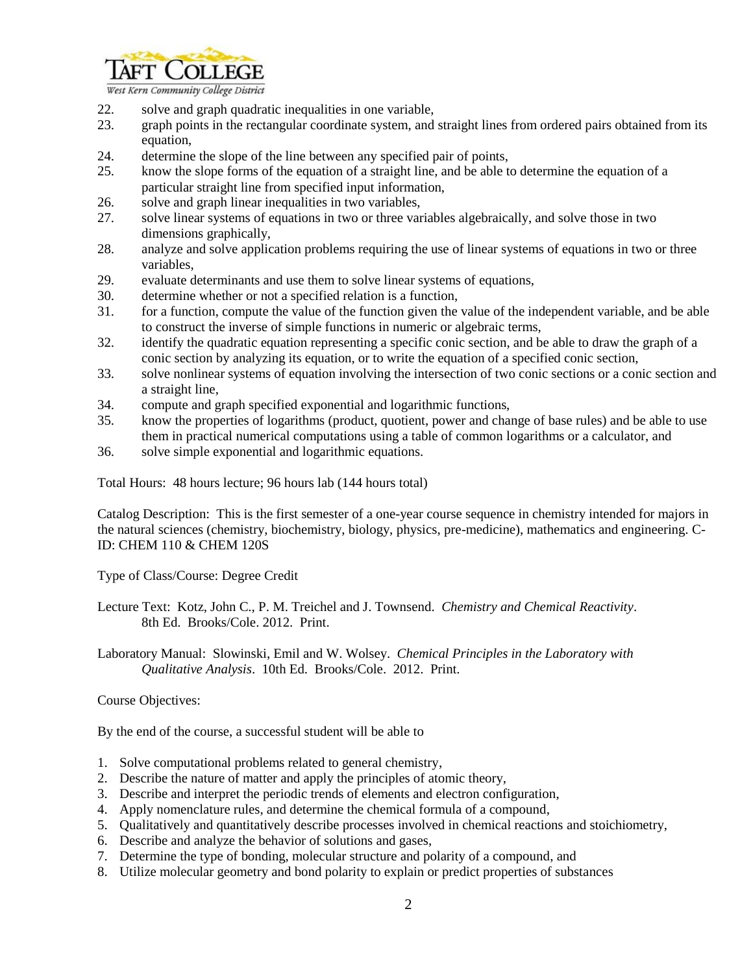

West Kern Community College District

- 22. solve and graph quadratic inequalities in one variable,
- 23. graph points in the rectangular coordinate system, and straight lines from ordered pairs obtained from its equation,
- 24. determine the slope of the line between any specified pair of points,
- 25. know the slope forms of the equation of a straight line, and be able to determine the equation of a particular straight line from specified input information,
- 26. solve and graph linear inequalities in two variables,
- 27. solve linear systems of equations in two or three variables algebraically, and solve those in two dimensions graphically,
- 28. analyze and solve application problems requiring the use of linear systems of equations in two or three variables,
- 29. evaluate determinants and use them to solve linear systems of equations,
- 30. determine whether or not a specified relation is a function,
- 31. for a function, compute the value of the function given the value of the independent variable, and be able to construct the inverse of simple functions in numeric or algebraic terms,
- 32. identify the quadratic equation representing a specific conic section, and be able to draw the graph of a conic section by analyzing its equation, or to write the equation of a specified conic section,
- 33. solve nonlinear systems of equation involving the intersection of two conic sections or a conic section and a straight line,
- 34. compute and graph specified exponential and logarithmic functions,
- 35. know the properties of logarithms (product, quotient, power and change of base rules) and be able to use them in practical numerical computations using a table of common logarithms or a calculator, and
- 36. solve simple exponential and logarithmic equations.

Total Hours: 48 hours lecture; 96 hours lab (144 hours total)

Catalog Description: This is the first semester of a one-year course sequence in chemistry intended for majors in the natural sciences (chemistry, biochemistry, biology, physics, pre-medicine), mathematics and engineering. C-ID: CHEM 110 & CHEM 120S

Type of Class/Course: Degree Credit

Lecture Text: Kotz, John C., P. M. Treichel and J. Townsend. *Chemistry and Chemical Reactivity*. 8th Ed. Brooks/Cole. 2012. Print.

Laboratory Manual: Slowinski, Emil and W. Wolsey. *Chemical Principles in the Laboratory with Qualitative Analysis*. 10th Ed. Brooks/Cole. 2012. Print.

Course Objectives:

By the end of the course, a successful student will be able to

- 1. Solve computational problems related to general chemistry,
- 2. Describe the nature of matter and apply the principles of atomic theory,
- 3. Describe and interpret the periodic trends of elements and electron configuration,
- 4. Apply nomenclature rules, and determine the chemical formula of a compound,
- 5. Qualitatively and quantitatively describe processes involved in chemical reactions and stoichiometry,
- 6. Describe and analyze the behavior of solutions and gases,
- 7. Determine the type of bonding, molecular structure and polarity of a compound, and
- 8. Utilize molecular geometry and bond polarity to explain or predict properties of substances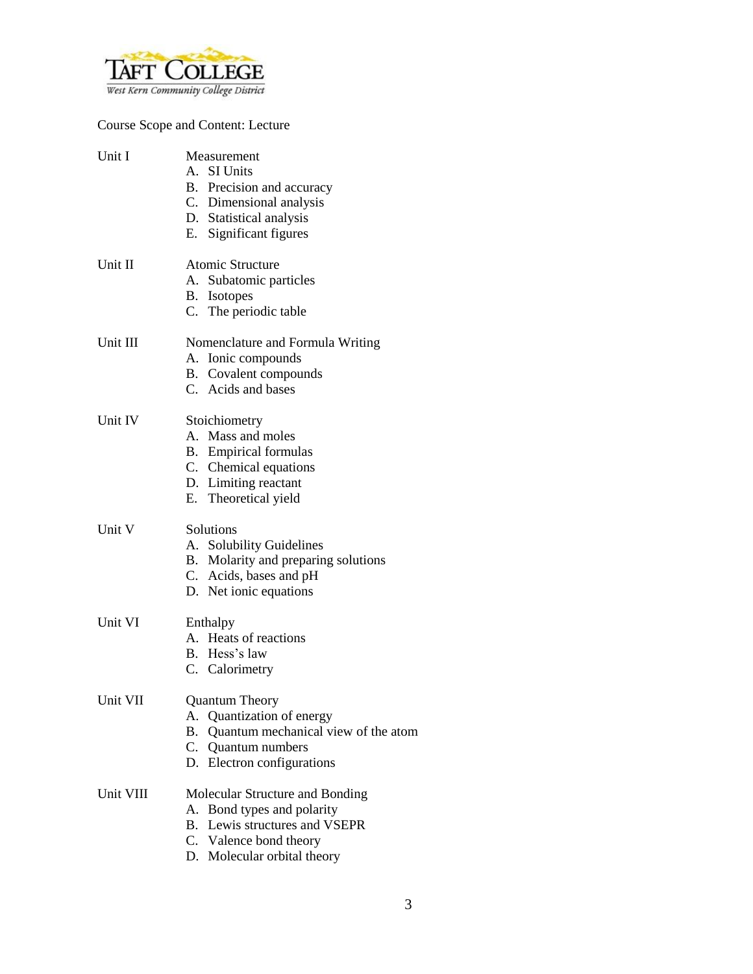

Course Scope and Content: Lecture

| Unit I    | Measurement<br>A. SI Units<br>B. Precision and accuracy<br>C. Dimensional analysis<br>D. Statistical analysis<br>E. Significant figures                    |
|-----------|------------------------------------------------------------------------------------------------------------------------------------------------------------|
| Unit II   | <b>Atomic Structure</b><br>A. Subatomic particles<br>B. Isotopes<br>C. The periodic table                                                                  |
| Unit III  | Nomenclature and Formula Writing<br>A. Ionic compounds<br>B. Covalent compounds<br>C. Acids and bases                                                      |
| Unit IV   | Stoichiometry<br>A. Mass and moles<br><b>B.</b> Empirical formulas<br>C. Chemical equations<br>D. Limiting reactant<br>E. Theoretical yield                |
| Unit V    | Solutions<br>A. Solubility Guidelines<br>B. Molarity and preparing solutions<br>C. Acids, bases and pH<br>D. Net ionic equations                           |
| Unit VI   | Enthalpy<br>A. Heats of reactions<br>B. Hess's law<br>C. Calorimetry                                                                                       |
| Unit VII  | <b>Quantum Theory</b><br>Quantization of energy<br>А.<br>B. Quantum mechanical view of the atom<br>C. Quantum numbers<br>D. Electron configurations        |
| Unit VIII | Molecular Structure and Bonding<br>A. Bond types and polarity<br>Lewis structures and VSEPR<br>В.<br>C. Valence bond theory<br>D. Molecular orbital theory |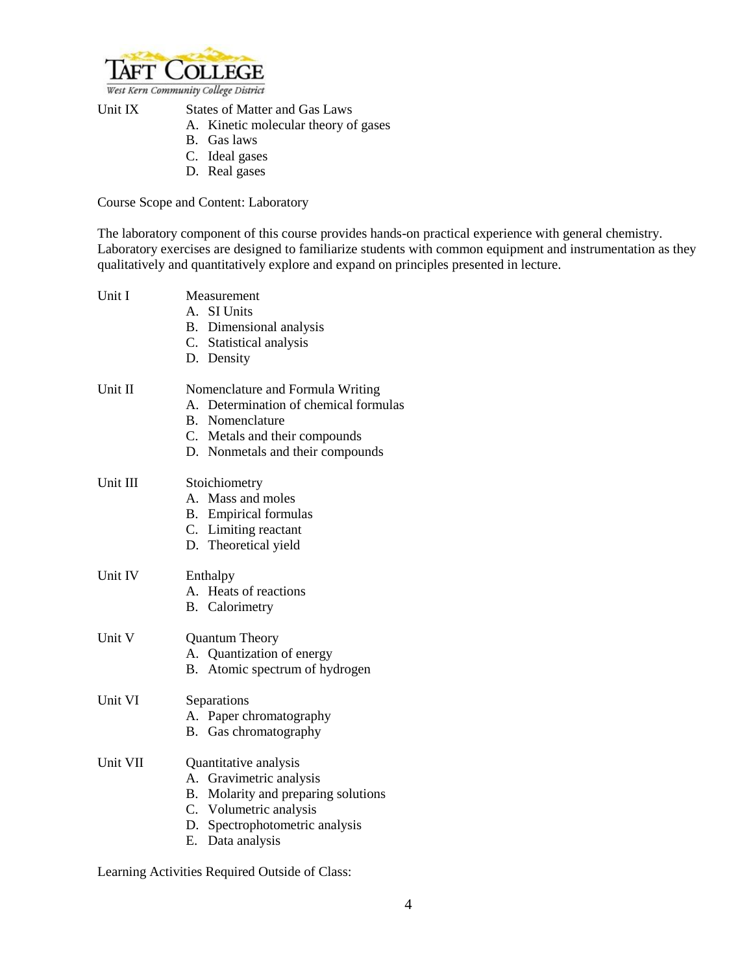

West Kern Community College District

Unit IX States of Matter and Gas Laws

- A. Kinetic molecular theory of gases
- B. Gas laws
- C. Ideal gases
- D. Real gases

Course Scope and Content: Laboratory

The laboratory component of this course provides hands-on practical experience with general chemistry. Laboratory exercises are designed to familiarize students with common equipment and instrumentation as they qualitatively and quantitatively explore and expand on principles presented in lecture.

| Unit I   | Measurement                           |  |  |
|----------|---------------------------------------|--|--|
|          | A. SI Units                           |  |  |
|          | B. Dimensional analysis               |  |  |
|          | C. Statistical analysis               |  |  |
|          | D. Density                            |  |  |
| Unit II  | Nomenclature and Formula Writing      |  |  |
|          | A. Determination of chemical formulas |  |  |
|          | B. Nomenclature                       |  |  |
|          | C. Metals and their compounds         |  |  |
|          | D. Nonmetals and their compounds      |  |  |
| Unit III | Stoichiometry                         |  |  |
|          | A. Mass and moles                     |  |  |
|          | <b>B.</b> Empirical formulas          |  |  |
|          | C. Limiting reactant                  |  |  |
|          | D. Theoretical yield                  |  |  |
| Unit IV  | Enthalpy                              |  |  |
|          | A. Heats of reactions                 |  |  |
|          | <b>B.</b> Calorimetry                 |  |  |
| Unit V   | <b>Quantum Theory</b>                 |  |  |
|          | A. Quantization of energy             |  |  |
|          | B. Atomic spectrum of hydrogen        |  |  |
| Unit VI  | Separations                           |  |  |
|          | A. Paper chromatography               |  |  |
|          | B. Gas chromatography                 |  |  |
| Unit VII | Quantitative analysis                 |  |  |
|          | A. Gravimetric analysis               |  |  |
|          | B. Molarity and preparing solutions   |  |  |
|          | C. Volumetric analysis                |  |  |
|          | D. Spectrophotometric analysis        |  |  |
|          | E. Data analysis                      |  |  |
|          |                                       |  |  |

Learning Activities Required Outside of Class: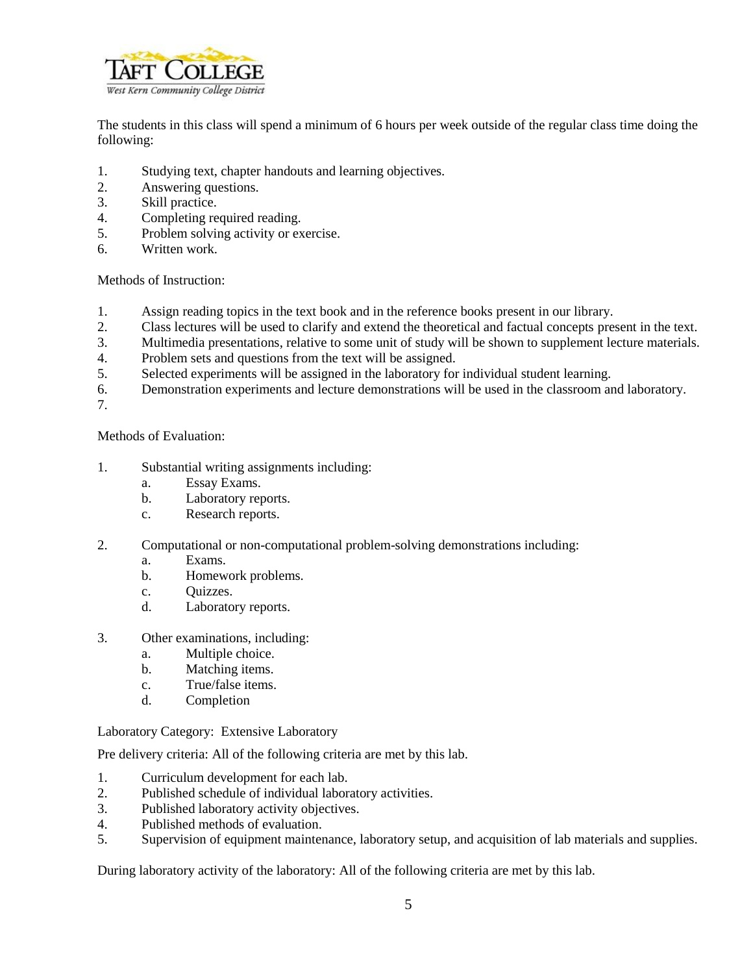

The students in this class will spend a minimum of 6 hours per week outside of the regular class time doing the following:

- 1. Studying text, chapter handouts and learning objectives.
- 2. Answering questions.
- 3. Skill practice.
- 4. Completing required reading.
- 5. Problem solving activity or exercise.
- 6. Written work.

Methods of Instruction:

- 1. Assign reading topics in the text book and in the reference books present in our library.
- 2. Class lectures will be used to clarify and extend the theoretical and factual concepts present in the text.
- 3. Multimedia presentations, relative to some unit of study will be shown to supplement lecture materials.
- 4. Problem sets and questions from the text will be assigned.
- 5. Selected experiments will be assigned in the laboratory for individual student learning.
- 6. Demonstration experiments and lecture demonstrations will be used in the classroom and laboratory.
- 7.

Methods of Evaluation:

- 1. Substantial writing assignments including:
	- a. Essay Exams.
	- b. Laboratory reports.
	- c. Research reports.
- 2. Computational or non-computational problem-solving demonstrations including:
	- a. Exams.
	- b. Homework problems.
	- c. Quizzes.
	- d. Laboratory reports.
- 3. Other examinations, including:
	- a. Multiple choice.
	- b. Matching items.
	- c. True/false items.
	- d. Completion

Laboratory Category: Extensive Laboratory

Pre delivery criteria: All of the following criteria are met by this lab.

- 1. Curriculum development for each lab.
- 2. Published schedule of individual laboratory activities.
- 3. Published laboratory activity objectives.
- 4. Published methods of evaluation.
- 5. Supervision of equipment maintenance, laboratory setup, and acquisition of lab materials and supplies.

During laboratory activity of the laboratory: All of the following criteria are met by this lab.